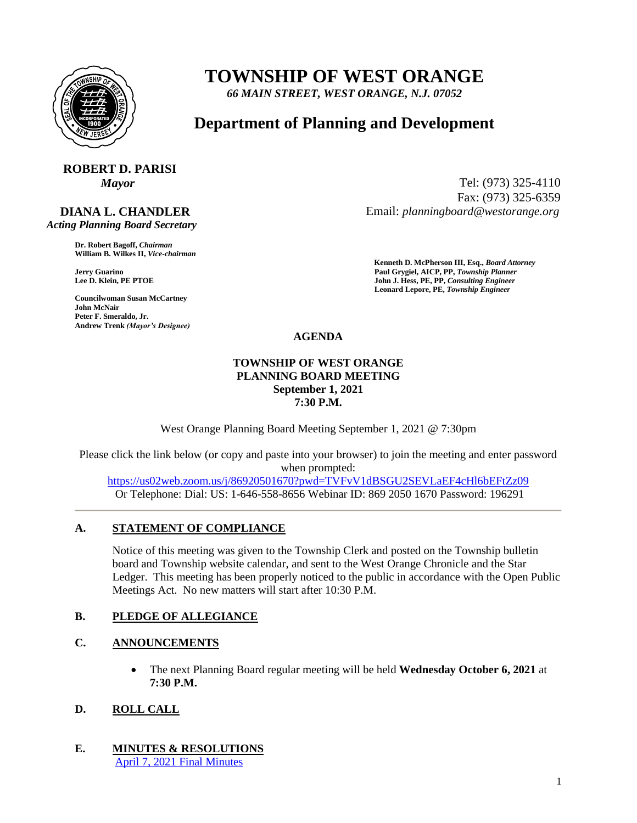

## **TOWNSHIP OF WEST ORANGE**

*66 MAIN STREET, WEST ORANGE, N.J. 07052*

### **Department of Planning and Development**

# **ROBERT D. PARISI**

 **DIANA L. CHANDLER**  *Acting Planning Board Secretary*

> **Dr. Robert Bagoff,** *Chairman*  **William B. Wilkes II,** *Vice-chairman*

**Councilwoman Susan McCartney John McNair Peter F. Smeraldo, Jr. Andrew Trenk** *(Mayor's Designee)*

*Mayor* Tel: (973) 325-4110 Fax: (973) 325-6359 Email: *planningboard@westorange.org*

**Kenneth D. McPherson III, Esq.,** *Board Attorney*  **Jerry Guarino Paul Grygiel, AICP, PP,** *Township Planner*  **John J. Hess, PE, PP,** *Consulting Engineer* **Leonard Lepore, PE,** *Township Engineer* 

**AGENDA**

#### **TOWNSHIP OF WEST ORANGE PLANNING BOARD MEETING September 1, 2021 7:30 P.M.**

West Orange Planning Board Meeting September 1, 2021 @ 7:30pm

Please click the link below (or copy and paste into your browser) to join the meeting and enter password when prompted:

<https://us02web.zoom.us/j/86920501670?pwd=TVFvV1dBSGU2SEVLaEF4cHl6bEFtZz09> Or Telephone: Dial: US: 1-646-558-8656 Webinar ID: 869 2050 1670 Password: 196291

#### **A. STATEMENT OF COMPLIANCE**

Notice of this meeting was given to the Township Clerk and posted on the Township bulletin board and Township website calendar, and sent to the West Orange Chronicle and the Star Ledger. This meeting has been properly noticed to the public in accordance with the Open Public Meetings Act. No new matters will start after 10:30 P.M.

#### **B. PLEDGE OF ALLEGIANCE**

#### **C. ANNOUNCEMENTS**

 The next Planning Board regular meeting will be held **Wednesday October 6, 2021** at **7:30 P.M.**

#### **D. ROLL CALL**

**E. MINUTES & RESOLUTIONS** [April 7, 2021 Final Minutes](https://nj-westorange2.civicplus.com/DocumentCenter/View/8671/4-7-21-Minutes-Final)